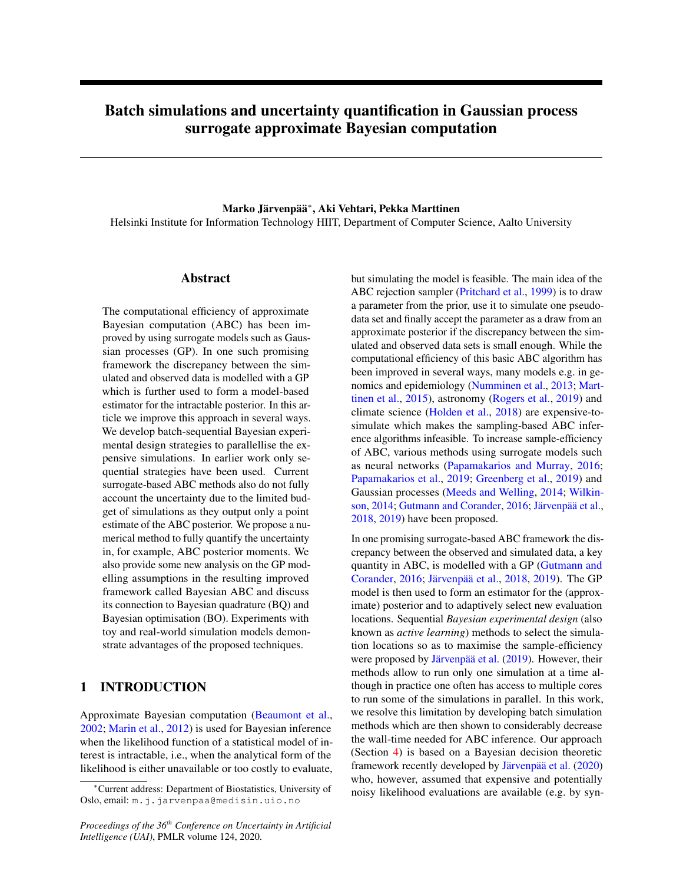# Batch simulations and uncertainty quantification in Gaussian process surrogate approximate Bayesian computation

Marko Järvenpää<sup>∗</sup> , Aki Vehtari, Pekka Marttinen Helsinki Institute for Information Technology HIIT, Department of Computer Science, Aalto University

# Abstract

The computational efficiency of approximate Bayesian computation (ABC) has been improved by using surrogate models such as Gaussian processes (GP). In one such promising framework the discrepancy between the simulated and observed data is modelled with a GP which is further used to form a model-based estimator for the intractable posterior. In this article we improve this approach in several ways. We develop batch-sequential Bayesian experimental design strategies to parallellise the expensive simulations. In earlier work only sequential strategies have been used. Current surrogate-based ABC methods also do not fully account the uncertainty due to the limited budget of simulations as they output only a point estimate of the ABC posterior. We propose a numerical method to fully quantify the uncertainty in, for example, ABC posterior moments. We also provide some new analysis on the GP modelling assumptions in the resulting improved framework called Bayesian ABC and discuss its connection to Bayesian quadrature (BQ) and Bayesian optimisation (BO). Experiments with toy and real-world simulation models demonstrate advantages of the proposed techniques.

# 1 INTRODUCTION

Approximate Bayesian computation [\(Beaumont et al.,](#page-8-0) [2002;](#page-8-0) [Marin et al.,](#page-8-1) [2012\)](#page-8-1) is used for Bayesian inference when the likelihood function of a statistical model of interest is intractable, i.e., when the analytical form of the likelihood is either unavailable or too costly to evaluate,

*Proceedings of the 36th Conference on Uncertainty in Artificial Intelligence (UAI)*, PMLR volume 124, 2020.

but simulating the model is feasible. The main idea of the ABC rejection sampler [\(Pritchard et al.,](#page-9-0) [1999\)](#page-9-0) is to draw a parameter from the prior, use it to simulate one pseudodata set and finally accept the parameter as a draw from an approximate posterior if the discrepancy between the simulated and observed data sets is small enough. While the computational efficiency of this basic ABC algorithm has been improved in several ways, many models e.g. in genomics and epidemiology [\(Numminen et al.,](#page-9-1) [2013;](#page-9-1) [Mart](#page-8-2)[tinen et al.,](#page-8-2) [2015\)](#page-8-2), astronomy [\(Rogers et al.,](#page-9-2) [2019\)](#page-9-2) and climate science [\(Holden et al.,](#page-8-3) [2018\)](#page-8-3) are expensive-tosimulate which makes the sampling-based ABC inference algorithms infeasible. To increase sample-efficiency of ABC, various methods using surrogate models such as neural networks [\(Papamakarios and Murray,](#page-9-3) [2016;](#page-9-3) [Papamakarios et al.,](#page-9-4) [2019;](#page-9-4) [Greenberg et al.,](#page-8-4) [2019\)](#page-8-4) and Gaussian processes [\(Meeds and Welling,](#page-8-5) [2014;](#page-8-5) [Wilkin](#page-9-5)[son,](#page-9-5) [2014;](#page-9-5) [Gutmann and Corander,](#page-8-6) [2016;](#page-8-6) [Järvenpää et al.,](#page-8-7) [2018,](#page-8-7) [2019\)](#page-8-8) have been proposed.

In one promising surrogate-based ABC framework the discrepancy between the observed and simulated data, a key quantity in ABC, is modelled with a GP [\(Gutmann and](#page-8-6) [Corander,](#page-8-6) [2016;](#page-8-6) [Järvenpää et al.,](#page-8-7) [2018,](#page-8-7) [2019\)](#page-8-8). The GP model is then used to form an estimator for the (approximate) posterior and to adaptively select new evaluation locations. Sequential *Bayesian experimental design* (also known as *active learning*) methods to select the simulation locations so as to maximise the sample-efficiency were proposed by [Järvenpää et al.](#page-8-8) [\(2019\)](#page-8-8). However, their methods allow to run only one simulation at a time although in practice one often has access to multiple cores to run some of the simulations in parallel. In this work, we resolve this limitation by developing batch simulation methods which are then shown to considerably decrease the wall-time needed for ABC inference. Our approach (Section [4\)](#page-2-0) is based on a Bayesian decision theoretic framework recently developed by [Järvenpää et al.](#page-8-9) [\(2020\)](#page-8-9) who, however, assumed that expensive and potentially noisy likelihood evaluations are available (e.g. by syn-

<sup>∗</sup>Current address: Department of Biostatistics, University of Oslo, email: m.j.jarvenpaa@medisin.uio.no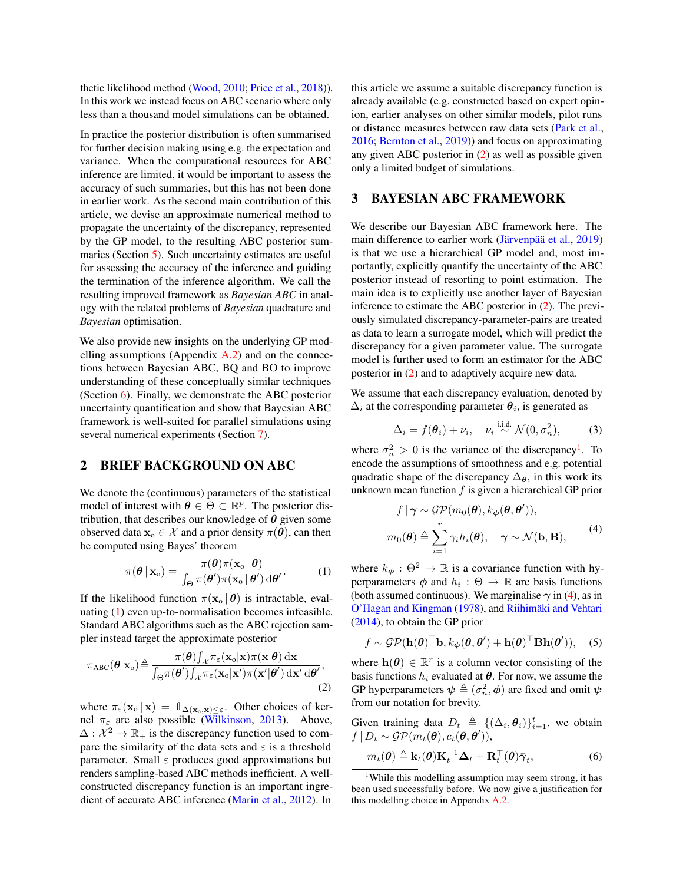thetic likelihood method [\(Wood,](#page-9-6) [2010;](#page-9-6) [Price et al.,](#page-9-7) [2018\)](#page-9-7)). In this work we instead focus on ABC scenario where only less than a thousand model simulations can be obtained.

In practice the posterior distribution is often summarised for further decision making using e.g. the expectation and variance. When the computational resources for ABC inference are limited, it would be important to assess the accuracy of such summaries, but this has not been done in earlier work. As the second main contribution of this article, we devise an approximate numerical method to propagate the uncertainty of the discrepancy, represented by the GP model, to the resulting ABC posterior summaries (Section [5\)](#page-3-0). Such uncertainty estimates are useful for assessing the accuracy of the inference and guiding the termination of the inference algorithm. We call the resulting improved framework as *Bayesian ABC* in analogy with the related problems of *Bayesian* quadrature and *Bayesian* optimisation.

We also provide new insights on the underlying GP modelling assumptions (Appendix [A.2\)](#page--1-0) and on the connections between Bayesian ABC, BQ and BO to improve understanding of these conceptually similar techniques (Section [6\)](#page-4-0). Finally, we demonstrate the ABC posterior uncertainty quantification and show that Bayesian ABC framework is well-suited for parallel simulations using several numerical experiments (Section [7\)](#page-5-0).

### 2 BRIEF BACKGROUND ON ABC

We denote the (continuous) parameters of the statistical model of interest with  $\theta \in \Theta \subset \mathbb{R}^p$ . The posterior distribution, that describes our knowledge of  $\theta$  given some observed data  $\mathbf{x}_{o} \in \mathcal{X}$  and a prior density  $\pi(\boldsymbol{\theta})$ , can then be computed using Bayes' theorem

$$
\pi(\boldsymbol{\theta} \,|\, \mathbf{x}_{\text{o}}) = \frac{\pi(\boldsymbol{\theta})\pi(\mathbf{x}_{\text{o}} \,|\, \boldsymbol{\theta})}{\int_{\Theta} \pi(\boldsymbol{\theta}')\pi(\mathbf{x}_{\text{o}} \,|\, \boldsymbol{\theta}') \,d\boldsymbol{\theta}'}.
$$
 (1)

If the likelihood function  $\pi(\mathbf{x}_0 | \boldsymbol{\theta})$  is intractable, evaluating [\(1\)](#page-1-0) even up-to-normalisation becomes infeasible. Standard ABC algorithms such as the ABC rejection sampler instead target the approximate posterior

$$
\pi_{ABC}(\theta|\mathbf{x}_o) \triangleq \frac{\pi(\theta)\int_{\mathcal{X}} \pi_{\varepsilon}(\mathbf{x}_o|\mathbf{x})\pi(\mathbf{x}|\theta) \, \mathrm{d}\mathbf{x}}{\int_{\Theta} \pi(\theta')\int_{\mathcal{X}} \pi_{\varepsilon}(\mathbf{x}_o|\mathbf{x}')\pi(\mathbf{x}'|\theta') \, \mathrm{d}\mathbf{x}' \, \mathrm{d}\theta'},\tag{2}
$$

where  $\pi_{\varepsilon}(\mathbf{x}_0 | \mathbf{x}) = \mathbb{1}_{\Delta(\mathbf{x}_0, \mathbf{x}) \leq \varepsilon}$ . Other choices of kernel  $\pi_{\varepsilon}$  are also possible [\(Wilkinson,](#page-9-8) [2013\)](#page-9-8). Above,  $\Delta: \mathcal{X}^2 \to \mathbb{R}_+$  is the discrepancy function used to compare the similarity of the data sets and  $\varepsilon$  is a threshold parameter. Small  $\varepsilon$  produces good approximations but renders sampling-based ABC methods inefficient. A wellconstructed discrepancy function is an important ingredient of accurate ABC inference [\(Marin et al.,](#page-8-1) [2012\)](#page-8-1). In

this article we assume a suitable discrepancy function is already available (e.g. constructed based on expert opinion, earlier analyses on other similar models, pilot runs or distance measures between raw data sets [\(Park et al.,](#page-9-9) [2016;](#page-9-9) [Bernton et al.,](#page-8-10) [2019\)](#page-8-10)) and focus on approximating any given ABC posterior in [\(2\)](#page-1-1) as well as possible given only a limited budget of simulations.

# <span id="page-1-5"></span>3 BAYESIAN ABC FRAMEWORK

We describe our Bayesian ABC framework here. The main difference to earlier work [\(Järvenpää et al.,](#page-8-8) [2019\)](#page-8-8) is that we use a hierarchical GP model and, most importantly, explicitly quantify the uncertainty of the ABC posterior instead of resorting to point estimation. The main idea is to explicitly use another layer of Bayesian inference to estimate the ABC posterior in [\(2\)](#page-1-1). The previously simulated discrepancy-parameter-pairs are treated as data to learn a surrogate model, which will predict the discrepancy for a given parameter value. The surrogate model is further used to form an estimator for the ABC posterior in [\(2\)](#page-1-1) and to adaptively acquire new data.

We assume that each discrepancy evaluation, denoted by  $\Delta_i$  at the corresponding parameter  $\theta_i$ , is generated as

<span id="page-1-4"></span>
$$
\Delta_i = f(\boldsymbol{\theta}_i) + \nu_i, \quad \nu_i \stackrel{\text{i.i.d.}}{\sim} \mathcal{N}(0, \sigma_n^2), \tag{3}
$$

where  $\sigma_n^2 > 0$  is the variance of the discrepancy<sup>[1](#page-1-2)</sup>. To encode the assumptions of smoothness and e.g. potential quadratic shape of the discrepancy  $\Delta_{\theta}$ , in this work its unknown mean function  $f$  is given a hierarchical GP prior

<span id="page-1-3"></span>
$$
f | \gamma \sim \mathcal{GP}(m_0(\boldsymbol{\theta}), k_{\boldsymbol{\phi}}(\boldsymbol{\theta}, \boldsymbol{\theta}'))
$$
\n
$$
m_0(\boldsymbol{\theta}) \triangleq \sum_{i=1}^r \gamma_i h_i(\boldsymbol{\theta}), \quad \gamma \sim \mathcal{N}(\mathbf{b}, \mathbf{B}), \tag{4}
$$

<span id="page-1-0"></span>where  $k_{\phi}$ :  $\Theta^2 \rightarrow \mathbb{R}$  is a covariance function with hyperparameters  $\phi$  and  $h_i : \Theta \to \mathbb{R}$  are basis functions (both assumed continuous). We marginalise  $\gamma$  in [\(4\)](#page-1-3), as in [O'Hagan and Kingman](#page-9-10) [\(1978\)](#page-9-10), and [Riihimäki and Vehtari](#page-9-11) [\(2014\)](#page-9-11), to obtain the GP prior

$$
f \sim \mathcal{GP}(\mathbf{h}(\boldsymbol{\theta})^{\top} \mathbf{b}, k_{\boldsymbol{\phi}}(\boldsymbol{\theta}, \boldsymbol{\theta}') + \mathbf{h}(\boldsymbol{\theta})^{\top} \mathbf{B} \mathbf{h}(\boldsymbol{\theta}')),
$$
 (5)

<span id="page-1-1"></span>where  $h(\theta) \in \mathbb{R}^r$  is a column vector consisting of the basis functions  $h_i$  evaluated at  $\theta$ . For now, we assume the GP hyperparameters  $\psi \triangleq (\sigma_n^2, \phi)$  are fixed and omit  $\psi$ from our notation for brevity.

Given training data  $D_t \triangleq \{(\Delta_i, \theta_i)\}_{i=1}^t$ , we obtain  $f | D_t \sim \mathcal{GP}(m_t(\boldsymbol{\theta}), c_t(\boldsymbol{\theta}, \boldsymbol{\theta}'))$ 

$$
m_t(\boldsymbol{\theta}) \triangleq \mathbf{k}_t(\boldsymbol{\theta}) \mathbf{K}_t^{-1} \boldsymbol{\Delta}_t + \mathbf{R}_t^{\top}(\boldsymbol{\theta}) \bar{\boldsymbol{\gamma}}_t, \tag{6}
$$

<span id="page-1-2"></span><sup>&</sup>lt;sup>1</sup>While this modelling assumption may seem strong, it has been used successfully before. We now give a justification for this modelling choice in Appendix [A.2.](#page--1-0)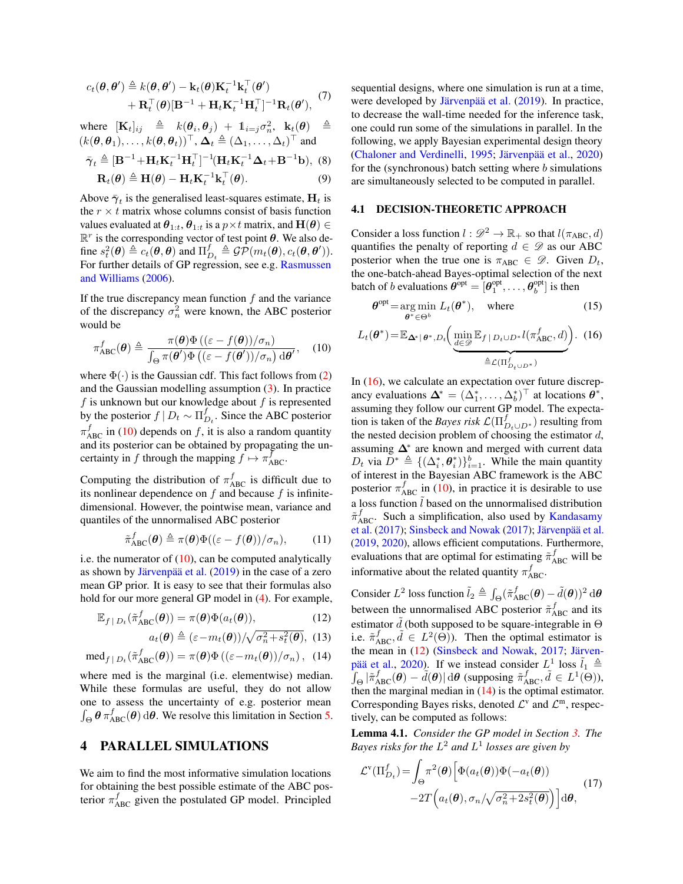$$
c_t(\boldsymbol{\theta}, \boldsymbol{\theta}') \triangleq k(\boldsymbol{\theta}, \boldsymbol{\theta}') - \mathbf{k}_t(\boldsymbol{\theta}) \mathbf{K}_t^{-1} \mathbf{k}_t^{\top}(\boldsymbol{\theta}')
$$

$$
+ \mathbf{R}_t^{\top}(\boldsymbol{\theta}) [\mathbf{B}^{-1} + \mathbf{H}_t \mathbf{K}_t^{-1} \mathbf{H}_t^{\top}]^{-1} \mathbf{R}_t(\boldsymbol{\theta}'),
$$
(7)

where  $[\mathbf{K}_t]_{ij} \triangleq k(\theta_i, \theta_j) + \mathbb{1}_{i=j} \sigma_n^2$ ,  $\mathbf{k}_t(\theta) \triangleq$  $(k(\theta, \theta_1), \ldots, k(\theta, \theta_t))^{\top}, \Delta_t \triangleq (\Delta_1, \ldots, \Delta_t)^{\top}$  and

$$
\bar{\boldsymbol{\gamma}}_t \triangleq [\mathbf{B}^{-1} + \mathbf{H}_t \mathbf{K}_t^{-1} \mathbf{H}_t^\top]^{-1} (\mathbf{H}_t \mathbf{K}_t^{-1} \boldsymbol{\Delta}_t + \mathbf{B}^{-1} \mathbf{b}), \tag{8}
$$

$$
\mathbf{R}_t(\boldsymbol{\theta}) \triangleq \mathbf{H}(\boldsymbol{\theta}) - \mathbf{H}_t \mathbf{K}_t^{-1} \mathbf{k}_t^\top(\boldsymbol{\theta}).
$$
\n(9)

Above  $\bar{\gamma}_t$  is the generalised least-squares estimate,  $H_t$  is the  $r \times t$  matrix whose columns consist of basis function values evaluated at  $\theta_{1:t}$ ,  $\theta_{1:t}$  is a  $p \times t$  matrix, and  $\mathbf{H}(\theta) \in$  $\mathbb{R}^r$  is the corresponding vector of test point  $\theta$ . We also define  $s_t^2(\theta) \triangleq c_t(\theta, \theta)$  and  $\Pi_{D_t}^f \triangleq \mathcal{GP}(m_t(\theta), c_t(\theta, \theta')).$ For further details of GP regression, see e.g. [Rasmussen](#page-9-12) [and Williams](#page-9-12) [\(2006\)](#page-9-12).

If the true discrepancy mean function  $f$  and the variance of the discrepancy  $\sigma_n^2$  were known, the ABC posterior would be

$$
\pi_{\text{ABC}}^f(\boldsymbol{\theta}) \triangleq \frac{\pi(\boldsymbol{\theta})\Phi\left((\varepsilon - f(\boldsymbol{\theta}))/\sigma_n\right)}{\int_{\Theta} \pi(\boldsymbol{\theta}')\Phi\left((\varepsilon - f(\boldsymbol{\theta}'))/\sigma_n\right) d\boldsymbol{\theta}'},\quad(10)
$$

where  $\Phi(\cdot)$  is the Gaussian cdf. This fact follows from [\(2\)](#page-1-1) and the Gaussian modelling assumption  $(3)$ . In practice  $f$  is unknown but our knowledge about  $f$  is represented by the posterior  $f \mid D_t \sim \prod_{D_t}^{f}$ . Since the ABC posterior  $\pi_{ABC}^f$  in [\(10\)](#page-2-1) depends on f, it is also a random quantity and its posterior can be obtained by propagating the uncertainty in f through the mapping  $f \mapsto \pi_{ABC}^f$ .

Computing the distribution of  $\pi_{ABC}^f$  is difficult due to its nonlinear dependence on  $f$  and because  $f$  is infinitedimensional. However, the pointwise mean, variance and quantiles of the unnormalised ABC posterior

$$
\tilde{\pi}_{ABC}^f(\boldsymbol{\theta}) \triangleq \pi(\boldsymbol{\theta}) \Phi((\varepsilon - f(\boldsymbol{\theta}))/\sigma_n), \qquad (11)
$$

i.e. the numerator of  $(10)$ , can be computed analytically as shown by [Järvenpää et al.](#page-8-8) [\(2019\)](#page-8-8) in the case of a zero mean GP prior. It is easy to see that their formulas also hold for our more general GP model in [\(4\)](#page-1-3). For example,

$$
\mathbb{E}_{f|D_t}(\tilde{\pi}_{ABC}^f(\boldsymbol{\theta})) = \pi(\boldsymbol{\theta})\Phi(a_t(\boldsymbol{\theta})), \tag{12}
$$

$$
a_t(\boldsymbol{\theta}) \triangleq (\varepsilon - m_t(\boldsymbol{\theta})) / \sqrt{\sigma_n^2 + s_t^2(\boldsymbol{\theta})}, \tag{13}
$$

$$
\operatorname{med}_{f|D_t}(\tilde{\pi}_{ABC}^f(\boldsymbol{\theta})) = \pi(\boldsymbol{\theta}) \Phi\left((\varepsilon - m_t(\boldsymbol{\theta})) / \sigma_n\right), \tag{14}
$$

where med is the marginal (i.e. elementwise) median. While these formulas are useful, they do not allow one to assess the uncertainty of e.g. posterior mean  $\int_{\Theta} \theta \pi_{ABC}^f(\theta) d\theta$ . We resolve this limitation in Section [5.](#page-3-0)

# <span id="page-2-0"></span>4 PARALLEL SIMULATIONS

We aim to find the most informative simulation locations for obtaining the best possible estimate of the ABC posterior  $\pi_{ABC}^f$  given the postulated GP model. Principled

sequential designs, where one simulation is run at a time, were developed by [Järvenpää et al.](#page-8-8) [\(2019\)](#page-8-8). In practice, to decrease the wall-time needed for the inference task, one could run some of the simulations in parallel. In the following, we apply Bayesian experimental design theory [\(Chaloner and Verdinelli,](#page-8-11) [1995;](#page-8-11) [Järvenpää et al.,](#page-8-9) [2020\)](#page-8-9) for the (synchronous) batch setting where  $b$  simulations are simultaneously selected to be computed in parallel.

## 4.1 DECISION-THEORETIC APPROACH

Consider a loss function  $l : \mathscr{D}^2 \to \mathbb{R}_+$  so that  $l(\pi_{ABC}, d)$ quantifies the penalty of reporting  $d \in \mathscr{D}$  as our ABC posterior when the true one is  $\pi_{ABC} \in \mathcal{D}$ . Given  $D_t$ , the one-batch-ahead Bayes-optimal selection of the next batch of *b* evaluations  $\boldsymbol{\theta}^{\text{opt}} = [\boldsymbol{\theta}_1^{\text{opt}}, \dots, \boldsymbol{\theta}_b^{\text{opt}}]$  is then

<span id="page-2-2"></span>
$$
\boldsymbol{\theta}^{\text{opt}} = \underset{\boldsymbol{\theta}^* \in \Theta^b}{\arg \min} \ L_t(\boldsymbol{\theta}^*), \quad \text{where} \tag{15}
$$

<span id="page-2-1"></span>
$$
L_t(\boldsymbol{\theta}^*) = \mathbb{E}_{\boldsymbol{\Delta}^* | \boldsymbol{\theta}^*, D_t} \bigg( \underbrace{\min_{d \in \mathcal{D}} \mathbb{E}_{f | D_t \cup D^*} l(\pi_{ABC}^f, d)}_{\triangleq \mathcal{L}(\Pi_{D_t \cup D^*}^f)} \bigg). \tag{16}
$$

In  $(16)$ , we calculate an expectation over future discrepancy evaluations  $\Delta^* = (\Delta_1^*, \ldots, \Delta_b^*)^\top$  at locations  $\hat{\theta^*}$ , assuming they follow our current GP model. The expectation is taken of the *Bayes risk*  $\mathcal{L}(\Pi_{D_t\cup D^*}^f)$  resulting from the nested decision problem of choosing the estimator  $d$ , assuming  $\Delta^*$  are known and merged with current data  $D_t$  via  $\bar{D}^* \triangleq \{(\Delta_i^*, \theta_i^*)\}_{i=1}^b$ . While the main quantity of interest in the Bayesian ABC framework is the ABC posterior  $\pi_{ABC}^f$  in [\(10\)](#page-2-1), in practice it is desirable to use a loss function  $\hat{l}$  based on the unnormalised distribution  $\tilde{\pi}_{ABC}^f$ . Such a simplification, also used by [Kandasamy](#page-8-12) [et al.](#page-8-12) [\(2017\)](#page-8-12); [Sinsbeck and Nowak](#page-9-13) [\(2017\)](#page-9-13); [Järvenpää et al.](#page-8-8) [\(2019,](#page-8-8) [2020\)](#page-8-9), allows efficient computations. Furthermore, evaluations that are optimal for estimating  $\tilde{\pi}_{ABC}^f$  will be informative about the related quantity  $\pi_{ABC}^f$ .

<span id="page-2-5"></span><span id="page-2-4"></span><span id="page-2-3"></span>Consider  $L^2$  loss function  $\tilde{l}_2 \triangleq \int_{\Theta} (\tilde{\pi}_{ABC}^f(\boldsymbol{\theta}) - \tilde{d}(\boldsymbol{\theta}))^2 d\boldsymbol{\theta}$ between the unnormalised ABC posterior  $\tilde{\pi}_{ABC}^f$  and its estimator  $d$  (both supposed to be square-integrable in  $\Theta$ i.e.  $\tilde{\pi}_{ABC}^f$ ,  $\tilde{d} \in L^2(\Theta)$ ). Then the optimal estimator is the mean in [\(12\)](#page-2-3) [\(Sinsbeck and Nowak,](#page-9-13) [2017;](#page-9-13) [Järven](#page-8-9)[pää et al.,](#page-8-9) [2020\)](#page-8-9). If we instead consider  $L^1$  loss  $\tilde{l}_1 \triangleq$  $\int_{\Theta} |\tilde{\pi}_{ABC}^f(\boldsymbol{\theta}) - \tilde{d}(\boldsymbol{\theta})| d\boldsymbol{\theta}$  (supposing  $\tilde{\pi}_{ABC}^f, \tilde{d} \in L^1(\Theta)$ ), then the marginal median in [\(14\)](#page-2-4) is the optimal estimator. Corresponding Bayes risks, denoted  $\mathcal{L}^v$  and  $\mathcal{L}^m$ , respectively, can be computed as follows:

Lemma 4.1. *Consider the GP model in Section [3.](#page-1-5) The Bayes risks for the* L <sup>2</sup> *and* L 1 *losses are given by*

<span id="page-2-6"></span>
$$
\mathcal{L}^{v}(\Pi_{D_t}^f) = \int_{\Theta} \pi^2(\theta) \left[ \Phi(a_t(\theta)) \Phi(-a_t(\theta)) -2T\left(a_t(\theta), \sigma_n/\sqrt{\sigma_n^2 + 2s_t^2(\theta)}\right) \right] d\theta,
$$
\n(17)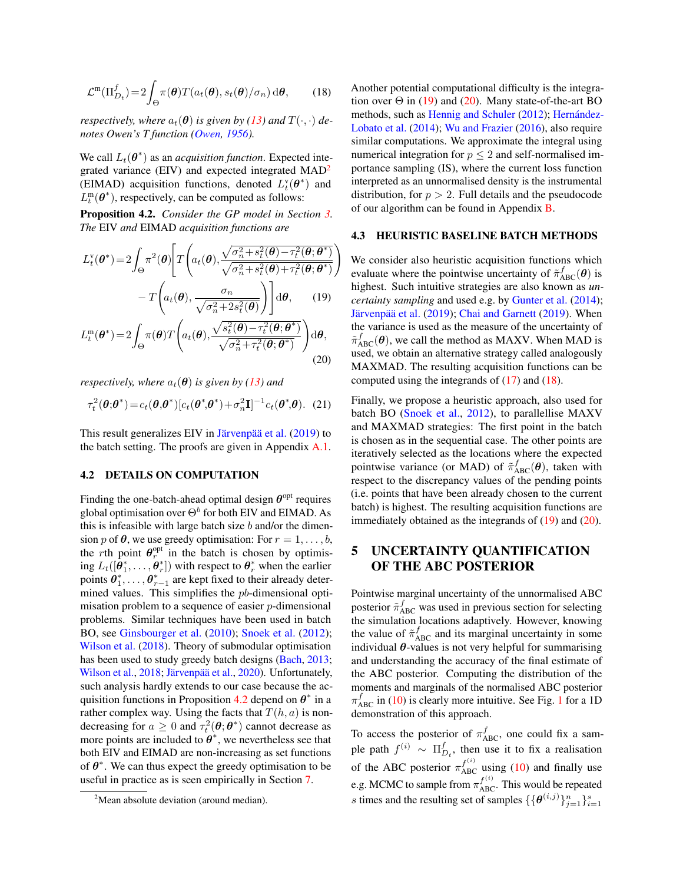$$
\mathcal{L}^{\mathfrak{m}}(\Pi_{D_{t}}^{f}) = 2 \int_{\Theta} \pi(\theta) T(a_{t}(\theta), s_{t}(\theta)/\sigma_{n}) d\theta, \qquad (18)
$$

*respectively, where*  $a_t(\theta)$  *is given by [\(13\)](#page-2-5)* and  $T(\cdot, \cdot)$  *denotes Owen's T function [\(Owen,](#page-9-14) [1956\)](#page-9-14).*

We call  $L_t(\theta^*)$  as an *acquisition function*. Expected inte-grated variance (EIV) and expected integrated MAD<sup>[2](#page-3-1)</sup> (EIMAD) acquisition functions, denoted  $L_t^{\rm v}(\theta^*)$  and  $L_t^m(\theta^*)$ , respectively, can be computed as follows:

<span id="page-3-2"></span>Proposition 4.2. *Consider the GP model in Section [3.](#page-1-5) The* EIV *and* EIMAD *acquisition functions are*

$$
L_t^{\mathbf{v}}(\boldsymbol{\theta}^*) = 2 \int_{\Theta} \pi^2(\boldsymbol{\theta}) \left[ T\left( a_t(\boldsymbol{\theta}), \frac{\sqrt{\sigma_n^2 + s_t^2(\boldsymbol{\theta}) - \tau_t^2(\boldsymbol{\theta}; \boldsymbol{\theta}^*)}}{\sqrt{\sigma_n^2 + s_t^2(\boldsymbol{\theta}) + \tau_t^2(\boldsymbol{\theta}; \boldsymbol{\theta}^*)}} \right) - T\left( a_t(\boldsymbol{\theta}), \frac{\sigma_n}{\sqrt{\sigma_n^2 + 2s_t^2(\boldsymbol{\theta})}} \right) \right] d\boldsymbol{\theta}, \qquad (19)
$$

$$
L_t^{\mathfrak{m}}(\boldsymbol{\theta}^*) = 2 \int_{\Theta} \pi(\boldsymbol{\theta}) T\left(a_t(\boldsymbol{\theta}), \frac{\sqrt{s_t^2(\boldsymbol{\theta}) - \tau_t^2(\boldsymbol{\theta}; \boldsymbol{\theta}^*)}}{\sqrt{\sigma_n^2 + \tau_t^2(\boldsymbol{\theta}; \boldsymbol{\theta}^*)}}\right) d\boldsymbol{\theta},
$$
\n(20)

*respectively, where*  $a_t(\theta)$  *is given by* [\(13\)](#page-2-5) *and* 

$$
\tau_t^2(\boldsymbol{\theta};\boldsymbol{\theta}^*) = c_t(\boldsymbol{\theta},\boldsymbol{\theta}^*) [c_t(\boldsymbol{\theta}^*,\boldsymbol{\theta}^*) + \sigma_n^2 \mathbf{I}]^{-1} c_t(\boldsymbol{\theta}^*,\boldsymbol{\theta}). \tag{21}
$$

This result generalizes EIV in [Järvenpää et al.](#page-8-8) [\(2019\)](#page-8-8) to the batch setting. The proofs are given in Appendix [A.1.](#page--1-1)

#### 4.2 DETAILS ON COMPUTATION

Finding the one-batch-ahead optimal design  $\theta$ <sup>opt</sup> requires global optimisation over  $\Theta^b$  for both EIV and EIMAD. As this is infeasible with large batch size  $b$  and/or the dimension p of  $\theta$ , we use greedy optimisation: For  $r = 1, \ldots, b$ , the rth point  $\theta_r^{\text{opt}}$  in the batch is chosen by optimising  $L_t([\bm{\theta}_1^*,\dots,\bm{\theta}_r^*])$  with respect to  $\bm{\theta}_r^*$  when the earlier points  $\hat{\theta}_1^*, \dots, \hat{\theta}_{r-1}^*$  are kept fixed to their already determined values. This simplifies the *pb*-dimensional optimisation problem to a sequence of easier p-dimensional problems. Similar techniques have been used in batch BO, see [Ginsbourger et al.](#page-8-13) [\(2010\)](#page-8-13); [Snoek et al.](#page-9-15) [\(2012\)](#page-9-15); [Wilson et al.](#page-9-16) [\(2018\)](#page-9-16). Theory of submodular optimisation has been used to study greedy batch designs [\(Bach,](#page-8-14) [2013;](#page-8-14) [Wilson et al.,](#page-9-16) [2018;](#page-9-16) [Järvenpää et al.,](#page-8-9) [2020\)](#page-8-9). Unfortunately, such analysis hardly extends to our case because the ac-quisition functions in Proposition [4.2](#page-3-2) depend on  $\theta^*$  in a rather complex way. Using the facts that  $T(h, a)$  is nondecreasing for  $a \geq 0$  and  $\tau_t^2(\theta; \theta^*)$  cannot decrease as more points are included to  $\theta^*$ , we nevertheless see that both EIV and EIMAD are non-increasing as set functions of  $\theta^*$ . We can thus expect the greedy optimisation to be useful in practice as is seen empirically in Section [7.](#page-5-0)

<span id="page-3-5"></span>Another potential computational difficulty is the integration over  $\Theta$  in [\(19\)](#page-3-3) and [\(20\)](#page-3-4). Many state-of-the-art BO methods, such as [Hennig and Schuler](#page-8-15) [\(2012\)](#page-8-15); [Hernández-](#page-8-16)[Lobato et al.](#page-8-16) [\(2014\)](#page-8-16); [Wu and Frazier](#page-9-17) [\(2016\)](#page-9-17), also require similar computations. We approximate the integral using numerical integration for  $p \leq 2$  and self-normalised importance sampling (IS), where the current loss function interpreted as an unnormalised density is the instrumental distribution, for  $p > 2$ . Full details and the pseudocode of our algorithm can be found in Appendix [B.](#page--1-2)

#### 4.3 HEURISTIC BASELINE BATCH METHODS

<span id="page-3-3"></span>We consider also heuristic acquisition functions which evaluate where the pointwise uncertainty of  $\tilde{\pi}_{ABC}^f(\theta)$  is highest. Such intuitive strategies are also known as *uncertainty sampling* and used e.g. by [Gunter et al.](#page-8-17) [\(2014\)](#page-8-17); [Järvenpää et al.](#page-8-8) [\(2019\)](#page-8-8); [Chai and Garnett](#page-8-18) [\(2019\)](#page-8-18). When the variance is used as the measure of the uncertainty of  $\tilde{\pi}_{ABC}^f(\theta)$ , we call the method as MAXV. When MAD is used, we obtain an alternative strategy called analogously MAXMAD. The resulting acquisition functions can be computed using the integrands of [\(17\)](#page-2-6) and [\(18\)](#page-3-5).

<span id="page-3-4"></span>Finally, we propose a heuristic approach, also used for batch BO [\(Snoek et al.,](#page-9-15) [2012\)](#page-9-15), to parallellise MAXV and MAXMAD strategies: The first point in the batch is chosen as in the sequential case. The other points are iteratively selected as the locations where the expected pointwise variance (or MAD) of  $\tilde{\pi}_{ABC}^f(\theta)$ , taken with respect to the discrepancy values of the pending points (i.e. points that have been already chosen to the current batch) is highest. The resulting acquisition functions are immediately obtained as the integrands of  $(19)$  and  $(20)$ .

# <span id="page-3-0"></span>5 UNCERTAINTY QUANTIFICATION OF THE ABC POSTERIOR

Pointwise marginal uncertainty of the unnormalised ABC posterior  $\tilde{\pi}_{ABC}^f$  was used in previous section for selecting the simulation locations adaptively. However, knowing the value of  $\tilde{\pi}_{ABC}^f$  and its marginal uncertainty in some individual  $\theta$ -values is not very helpful for summarising and understanding the accuracy of the final estimate of the ABC posterior. Computing the distribution of the moments and marginals of the normalised ABC posterior  $\pi_{\text{ABC}}^f$  in [\(10\)](#page-2-1) is clearly more intuitive. See Fig. [1](#page-4-1) for a 1D demonstration of this approach.

To access the posterior of  $\pi_{ABC}^f$ , one could fix a sample path  $f^{(i)} \sim \Pi_{D_t}^f$ , then use it to fix a realisation of the ABC posterior  $\pi_{ABC}^{f^{(i)}}$  using [\(10\)](#page-2-1) and finally use e.g. MCMC to sample from  $\pi_{\text{ABC}}^{f^{(i)}}$ . This would be repeated s times and the resulting set of samples  $\{\{\boldsymbol{\theta}^{(i,j)}\}_{j=1}^n\}_{i=1}^s$ 

<span id="page-3-1"></span><sup>&</sup>lt;sup>2</sup>Mean absolute deviation (around median).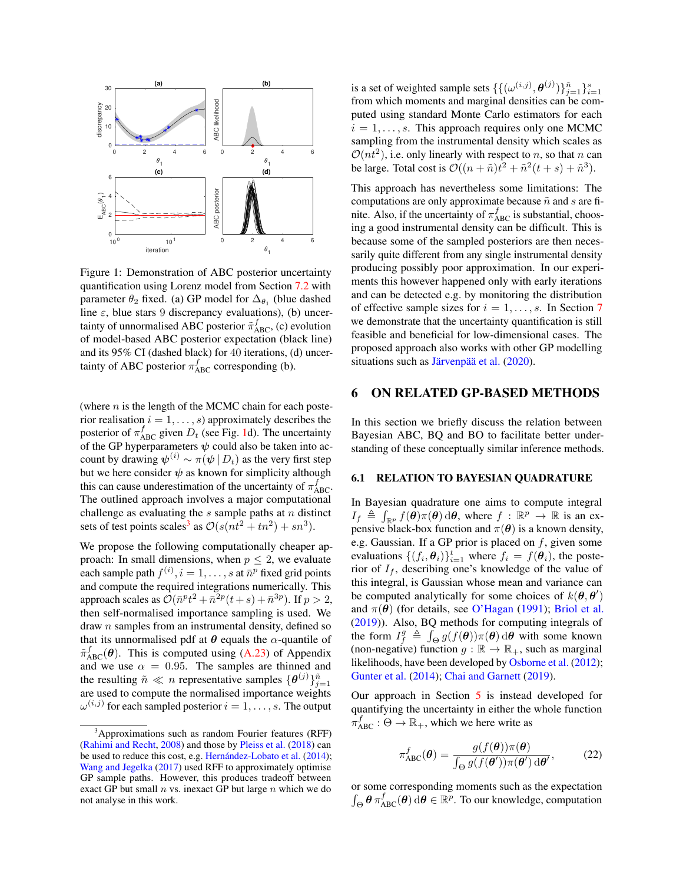<span id="page-4-1"></span>

Figure 1: Demonstration of ABC posterior uncertainty quantification using Lorenz model from Section [7.2](#page-6-0) with parameter  $\theta_2$  fixed. (a) GP model for  $\Delta_{\theta_1}$  (blue dashed line  $\varepsilon$ , blue stars 9 discrepancy evaluations), (b) uncertainty of unnormalised ABC posterior  $\tilde{\pi}_{ABC}^f$ , (c) evolution of model-based ABC posterior expectation (black line) and its 95% CI (dashed black) for 40 iterations, (d) uncertainty of ABC posterior  $\pi_{ABC}^f$  corresponding (b).

(where  $n$  is the length of the MCMC chain for each posterior realisation  $i = 1, \ldots, s$  approximately describes the posterior of  $\pi_{ABC}^f$  given  $D_t$  (see Fig. [1d](#page-4-1)). The uncertainty of the GP hyperparameters  $\psi$  could also be taken into account by drawing  $\psi^{(i)} \sim \pi(\psi | D_t)$  as the very first step but we here consider  $\psi$  as known for simplicity although this can cause underestimation of the uncertainty of  $\pi_{ABC}^f$ . The outlined approach involves a major computational challenge as evaluating the  $s$  sample paths at  $n$  distinct sets of test points scales<sup>[3](#page-4-2)</sup> as  $\mathcal{O}(s(nt^2 + tn^2) + sn^3)$ .

We propose the following computationally cheaper approach: In small dimensions, when  $p \leq 2$ , we evaluate each sample path  $f^{(i)}$ ,  $i = 1, \ldots, s$  at  $\bar{n}^p$  fixed grid points and compute the required integrations numerically. This approach scales as  $\mathcal{O}(\bar{n}^pt^2 + \bar{n}^{2p}(t+s) + \bar{n}^{3p})$ . If  $p > 2$ , then self-normalised importance sampling is used. We draw  $n$  samples from an instrumental density, defined so that its unnormalised pdf at  $\theta$  equals the  $\alpha$ -quantile of  $\tilde{\pi}_{ABC}^f(\theta)$ . This is computed using [\(A.23\)](#page--1-3) of Appendix and we use  $\alpha = 0.95$ . The samples are thinned and the resulting  $\tilde{n} \ll n$  representative samples  $\{\boldsymbol{\theta}^{(j)}\}_{j=1}^{\tilde{n}}$ are used to compute the normalised importance weights  $\omega^{(i,j)}$  for each sampled posterior  $i = 1, \ldots, s$ . The output

is a set of weighted sample sets  $\{\{\omega^{(i,j)}, \theta^{(j)}\}\}_{j=1}^{\tilde{n}}\}_{i=1}^s$ from which moments and marginal densities can be computed using standard Monte Carlo estimators for each  $i = 1, \ldots, s$ . This approach requires only one MCMC sampling from the instrumental density which scales as  $\mathcal{O}(nt^2)$ , i.e. only linearly with respect to n, so that n can be large. Total cost is  $\mathcal{O}((n + \tilde{n})t^2 + \tilde{n}^2(t + s) + \tilde{n}^3)$ .

This approach has nevertheless some limitations: The computations are only approximate because  $\tilde{n}$  and s are finite. Also, if the uncertainty of  $\pi_{ABC}^f$  is substantial, choosing a good instrumental density can be difficult. This is because some of the sampled posteriors are then necessarily quite different from any single instrumental density producing possibly poor approximation. In our experiments this however happened only with early iterations and can be detected e.g. by monitoring the distribution of effective sample sizes for  $i = 1, \ldots, s$ . In Section [7](#page-5-0) we demonstrate that the uncertainty quantification is still feasible and beneficial for low-dimensional cases. The proposed approach also works with other GP modelling situations such as [Järvenpää et al.](#page-8-9) [\(2020\)](#page-8-9).

### <span id="page-4-0"></span>6 ON RELATED GP-BASED METHODS

In this section we briefly discuss the relation between Bayesian ABC, BQ and BO to facilitate better understanding of these conceptually similar inference methods.

#### <span id="page-4-4"></span>6.1 RELATION TO BAYESIAN QUADRATURE

In Bayesian quadrature one aims to compute integral  $I_f \triangleq \int_{\mathbb{R}^p} f(\theta) \pi(\theta) d\theta$ , where  $f : \mathbb{R}^p \to \mathbb{R}$  is an expensive black-box function and  $\pi(\theta)$  is a known density, e.g. Gaussian. If a GP prior is placed on  $f$ , given some evaluations  $\{(f_i, \theta_i)\}_{i=1}^t$  where  $f_i = f(\theta_i)$ , the posterior of  $I_f$ , describing one's knowledge of the value of this integral, is Gaussian whose mean and variance can be computed analytically for some choices of  $k(\theta, \theta')$ and  $\pi(\theta)$  (for details, see [O'Hagan](#page-9-21) [\(1991\)](#page-9-21); [Briol et al.](#page-8-19) [\(2019\)](#page-8-19)). Also, BQ methods for computing integrals of the form  $I_f^g \triangleq \int_{\Theta} g(f(\theta))\pi(\theta) d\theta$  with some known (non-negative) function  $g : \mathbb{R} \to \mathbb{R}_+$ , such as marginal likelihoods, have been developed by [Osborne et al.](#page-9-22) [\(2012\)](#page-9-22); [Gunter et al.](#page-8-17) [\(2014\)](#page-8-17); [Chai and Garnett](#page-8-18) [\(2019\)](#page-8-18).

Our approach in Section [5](#page-3-0) is instead developed for quantifying the uncertainty in either the whole function  $\pi_{ABC}^f : \Theta \to \mathbb{R}_+$ , which we here write as

<span id="page-4-3"></span>
$$
\pi_{ABC}^f(\boldsymbol{\theta}) = \frac{g(f(\boldsymbol{\theta}))\pi(\boldsymbol{\theta})}{\int_{\Theta} g(f(\boldsymbol{\theta}'))\pi(\boldsymbol{\theta}') d\boldsymbol{\theta}'},\qquad(22)
$$

or some corresponding moments such as the expectation  $\int_{\Theta} \theta \pi_{ABC}^f(\theta) d\theta \in \mathbb{R}^p$ . To our knowledge, computation

<span id="page-4-2"></span> $3$ Approximations such as random Fourier features (RFF) [\(Rahimi and Recht,](#page-9-18) [2008\)](#page-9-18) and those by [Pleiss et al.](#page-9-19) [\(2018\)](#page-9-19) can be used to reduce this cost, e.g. [Hernández-Lobato et al.](#page-8-16) [\(2014\)](#page-8-16); [Wang and Jegelka](#page-9-20) [\(2017\)](#page-9-20) used RFF to approximately optimise GP sample paths. However, this produces tradeoff between exact GP but small  $n$  vs. inexact GP but large  $n$  which we do not analyse in this work.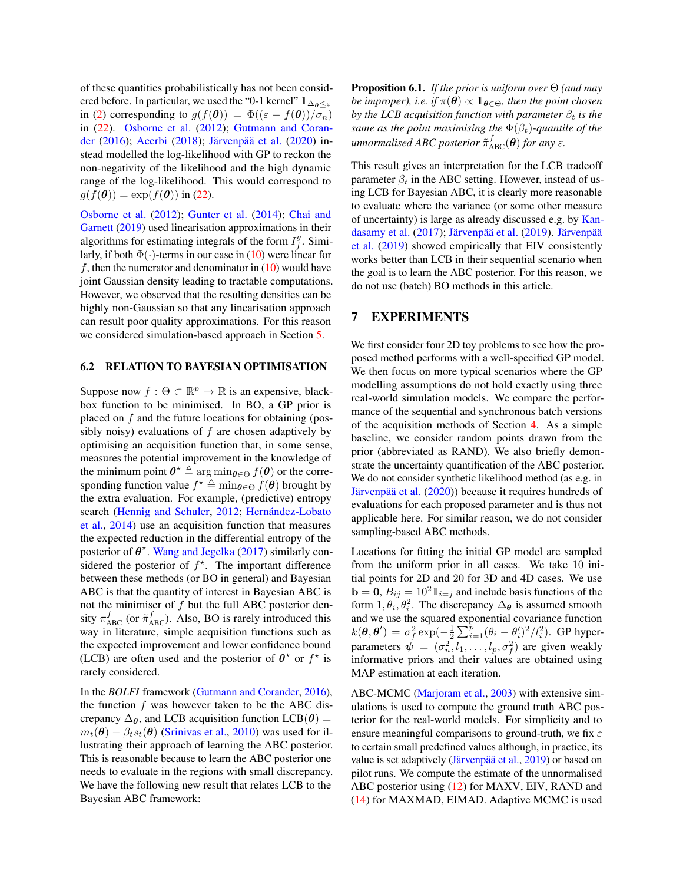of these quantities probabilistically has not been considered before. In particular, we used the "0-1 kernel"  $1\Delta_{\theta}<\varepsilon$ in [\(2\)](#page-1-1) corresponding to  $g(f(\theta)) = \Phi((\varepsilon - f(\theta))/\sigma_n)$ in [\(22\)](#page-4-3). [Osborne et al.](#page-9-22) [\(2012\)](#page-9-22); [Gutmann and Coran](#page-8-6)[der](#page-8-6) [\(2016\)](#page-8-6); [Acerbi](#page-8-20) [\(2018\)](#page-8-20); [Järvenpää et al.](#page-8-9) [\(2020\)](#page-8-9) instead modelled the log-likelihood with GP to reckon the non-negativity of the likelihood and the high dynamic range of the log-likelihood. This would correspond to  $g(f(\theta)) = \exp(f(\theta))$  in [\(22\)](#page-4-3).

[Osborne et al.](#page-9-22) [\(2012\)](#page-9-22); [Gunter et al.](#page-8-17) [\(2014\)](#page-8-17); [Chai and](#page-8-18) [Garnett](#page-8-18) [\(2019\)](#page-8-18) used linearisation approximations in their algorithms for estimating integrals of the form  $I_f^g$ . Similarly, if both  $\Phi(\cdot)$ -terms in our case in [\(10\)](#page-2-1) were linear for f, then the numerator and denominator in  $(10)$  would have joint Gaussian density leading to tractable computations. However, we observed that the resulting densities can be highly non-Gaussian so that any linearisation approach can result poor quality approximations. For this reason we considered simulation-based approach in Section [5.](#page-3-0)

#### 6.2 RELATION TO BAYESIAN OPTIMISATION

Suppose now  $f : \Theta \subset \mathbb{R}^p \to \mathbb{R}$  is an expensive, blackbox function to be minimised. In BO, a GP prior is placed on  $f$  and the future locations for obtaining (possibly noisy) evaluations of  $f$  are chosen adaptively by optimising an acquisition function that, in some sense, measures the potential improvement in the knowledge of the minimum point  $\boldsymbol{\theta}^{\star} \triangleq \arg \min_{\boldsymbol{\theta} \in \Theta} f(\boldsymbol{\theta})$  or the corresponding function value  $f^* \triangleq \min_{\theta \in \Theta} f(\theta)$  brought by the extra evaluation. For example, (predictive) entropy search [\(Hennig and Schuler,](#page-8-15) [2012;](#page-8-15) [Hernández-Lobato](#page-8-16) [et al.,](#page-8-16) [2014\)](#page-8-16) use an acquisition function that measures the expected reduction in the differential entropy of the posterior of  $\theta^*$ . [Wang and Jegelka](#page-9-20) [\(2017\)](#page-9-20) similarly considered the posterior of  $f^*$ . The important difference between these methods (or BO in general) and Bayesian ABC is that the quantity of interest in Bayesian ABC is not the minimiser of  $f$  but the full ABC posterior density  $\pi_{ABC}^f$  (or  $\tilde{\pi}_{ABC}^f$ ). Also, BO is rarely introduced this way in literature, simple acquisition functions such as the expected improvement and lower confidence bound (LCB) are often used and the posterior of  $\theta^*$  or  $f^*$  is rarely considered.

In the *BOLFI* framework [\(Gutmann and Corander,](#page-8-6) [2016\)](#page-8-6), the function  $f$  was however taken to be the ABC discrepancy  $\Delta_{\theta}$ , and LCB acquisition function LCB( $\theta$ ) =  $m_t(\theta) - \beta_t s_t(\theta)$  [\(Srinivas et al.,](#page-9-23) [2010\)](#page-9-23) was used for illustrating their approach of learning the ABC posterior. This is reasonable because to learn the ABC posterior one needs to evaluate in the regions with small discrepancy. We have the following new result that relates LCB to the Bayesian ABC framework:

Proposition 6.1. *If the prior is uniform over* Θ *(and may be improper), i.e. if*  $\pi(\theta) \propto 1_{\theta \in \Theta}$ *, then the point chosen by the LCB acquisition function with parameter*  $\beta_t$  *is the same as the point maximising the*  $\Phi(\beta_t)$ -quantile of the  $u$ nnormalised ABC posterior  $\tilde{\pi}_{\text{ABC}}^f(\boldsymbol{\theta})$  for any  $\varepsilon$ .

This result gives an interpretation for the LCB tradeoff parameter  $\beta_t$  in the ABC setting. However, instead of using LCB for Bayesian ABC, it is clearly more reasonable to evaluate where the variance (or some other measure of uncertainty) is large as already discussed e.g. by [Kan](#page-8-12)[dasamy et al.](#page-8-12) [\(2017\)](#page-8-12); [Järvenpää et al.](#page-8-8) [\(2019\)](#page-8-8). [Järvenpää](#page-8-8) [et al.](#page-8-8) [\(2019\)](#page-8-8) showed empirically that EIV consistently works better than LCB in their sequential scenario when the goal is to learn the ABC posterior. For this reason, we do not use (batch) BO methods in this article.

### <span id="page-5-0"></span>7 EXPERIMENTS

We first consider four 2D toy problems to see how the proposed method performs with a well-specified GP model. We then focus on more typical scenarios where the GP modelling assumptions do not hold exactly using three real-world simulation models. We compare the performance of the sequential and synchronous batch versions of the acquisition methods of Section [4.](#page-2-0) As a simple baseline, we consider random points drawn from the prior (abbreviated as RAND). We also briefly demonstrate the uncertainty quantification of the ABC posterior. We do not consider synthetic likelihood method (as e.g. in [Järvenpää et al.](#page-8-9) [\(2020\)](#page-8-9)) because it requires hundreds of evaluations for each proposed parameter and is thus not applicable here. For similar reason, we do not consider sampling-based ABC methods.

Locations for fitting the initial GP model are sampled from the uniform prior in all cases. We take 10 initial points for 2D and 20 for 3D and 4D cases. We use  $\mathbf{b} = \mathbf{0}, B_{ij} = 10^2 \mathbb{1}_{i=j}$  and include basis functions of the form  $1, \theta_i, \theta_i^2$ . The discrepancy  $\Delta_{\theta}$  is assumed smooth and we use the squared exponential covariance function  $k(\theta, \theta') = \sigma_f^2 \exp(-\frac{1}{2} \sum_{i=1}^{\tilde{p}} (\theta_i - \theta'_i)^2 / l_i^2)$ . GP hyperparameters  $\psi = (\sigma_n^2, l_1, \dots, l_p, \sigma_f^2)$  are given weakly informative priors and their values are obtained using MAP estimation at each iteration.

ABC-MCMC [\(Marjoram et al.,](#page-8-21) [2003\)](#page-8-21) with extensive simulations is used to compute the ground truth ABC posterior for the real-world models. For simplicity and to ensure meaningful comparisons to ground-truth, we fix  $\varepsilon$ to certain small predefined values although, in practice, its value is set adaptively [\(Järvenpää et al.,](#page-8-8) [2019\)](#page-8-8) or based on pilot runs. We compute the estimate of the unnormalised ABC posterior using [\(12\)](#page-2-3) for MAXV, EIV, RAND and [\(14\)](#page-2-4) for MAXMAD, EIMAD. Adaptive MCMC is used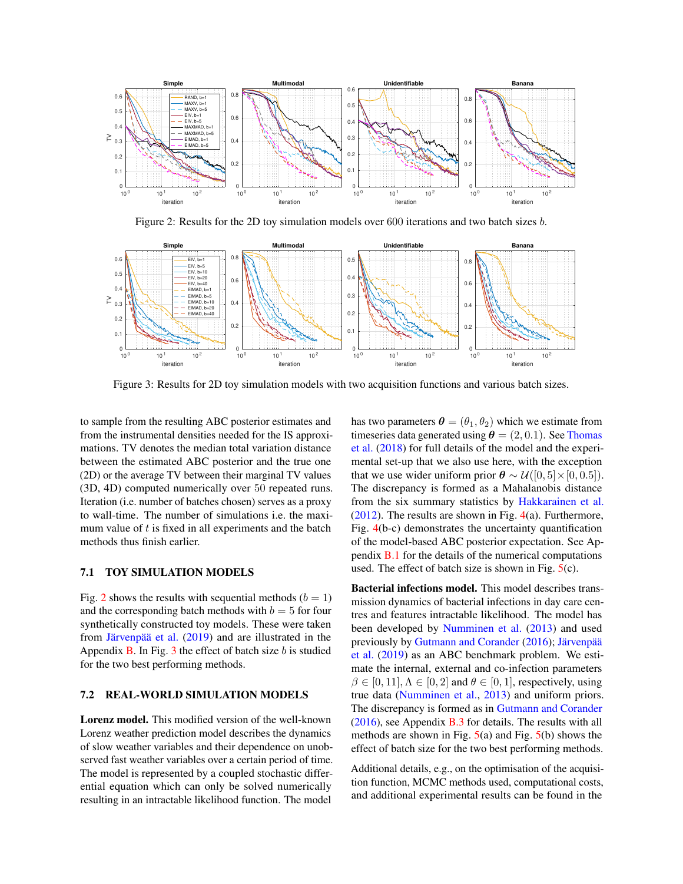<span id="page-6-1"></span>

Figure 2: Results for the 2D toy simulation models over 600 iterations and two batch sizes b.

<span id="page-6-2"></span>

Figure 3: Results for 2D toy simulation models with two acquisition functions and various batch sizes.

to sample from the resulting ABC posterior estimates and from the instrumental densities needed for the IS approximations. TV denotes the median total variation distance between the estimated ABC posterior and the true one (2D) or the average TV between their marginal TV values (3D, 4D) computed numerically over 50 repeated runs. Iteration (i.e. number of batches chosen) serves as a proxy to wall-time. The number of simulations i.e. the maximum value of  $t$  is fixed in all experiments and the batch methods thus finish earlier.

# 7.1 TOY SIMULATION MODELS

Fig. [2](#page-6-1) shows the results with sequential methods ( $b = 1$ ) and the corresponding batch methods with  $b = 5$  for four synthetically constructed toy models. These were taken from [Järvenpää et al.](#page-8-8) [\(2019\)](#page-8-8) and are illustrated in the Appendix  $\bf{B}$ . In Fig. [3](#page-6-2) the effect of batch size b is studied for the two best performing methods.

#### <span id="page-6-0"></span>7.2 REAL-WORLD SIMULATION MODELS

Lorenz model. This modified version of the well-known Lorenz weather prediction model describes the dynamics of slow weather variables and their dependence on unobserved fast weather variables over a certain period of time. The model is represented by a coupled stochastic differential equation which can only be solved numerically resulting in an intractable likelihood function. The model

has two parameters  $\boldsymbol{\theta} = (\theta_1, \theta_2)$  which we estimate from timeseries data generated using  $\theta = (2, 0.1)$ . See [Thomas](#page-9-24) [et al.](#page-9-24) [\(2018\)](#page-9-24) for full details of the model and the experimental set-up that we also use here, with the exception that we use wider uniform prior  $\boldsymbol{\theta} \sim \mathcal{U}([0, 5] \times [0, 0.5])$ . The discrepancy is formed as a Mahalanobis distance from the six summary statistics by [Hakkarainen et al.](#page-8-22)  $(2012)$ . The results are shown in Fig. [4\(](#page-7-0)a). Furthermore, Fig. [4\(](#page-7-0)b-c) demonstrates the uncertainty quantification of the model-based ABC posterior expectation. See Appendix [B.1](#page--1-4) for the details of the numerical computations used. The effect of batch size is shown in Fig.  $5(c)$  $5(c)$ .

Bacterial infections model. This model describes transmission dynamics of bacterial infections in day care centres and features intractable likelihood. The model has been developed by [Numminen et al.](#page-9-1) [\(2013\)](#page-9-1) and used previously by [Gutmann and Corander](#page-8-6) [\(2016\)](#page-8-6); [Järvenpää](#page-8-8) [et al.](#page-8-8) [\(2019\)](#page-8-8) as an ABC benchmark problem. We estimate the internal, external and co-infection parameters  $\beta \in [0, 11], \Lambda \in [0, 2]$  and  $\theta \in [0, 1]$ , respectively, using true data [\(Numminen et al.,](#page-9-1) [2013\)](#page-9-1) and uniform priors. The discrepancy is formed as in [Gutmann and Corander](#page-8-6) [\(2016\)](#page-8-6), see Appendix [B.3](#page--1-5) for details. The results with all methods are shown in Fig.  $5(a)$  $5(a)$  and Fig.  $5(b)$  shows the effect of batch size for the two best performing methods.

Additional details, e.g., on the optimisation of the acquisition function, MCMC methods used, computational costs, and additional experimental results can be found in the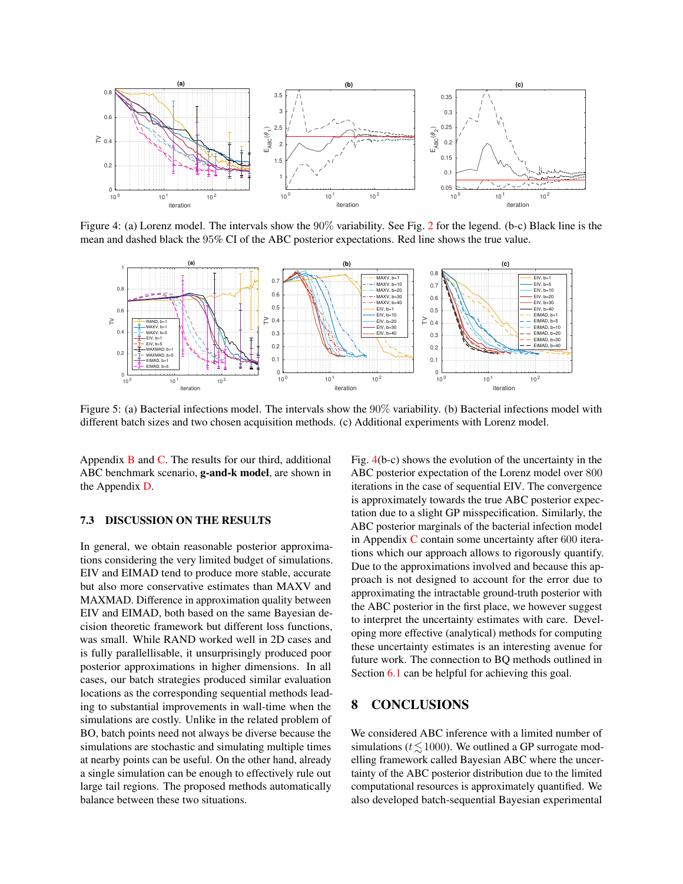<span id="page-7-0"></span>

Figure 4: (a) Lorenz model. The intervals show the 90% variability. See Fig. [2](#page-6-1) for the legend. (b-c) Black line is the mean and dashed black the 95% CI of the ABC posterior expectations. Red line shows the true value.

<span id="page-7-1"></span>

Figure 5: (a) Bacterial infections model. The intervals show the 90% variability. (b) Bacterial infections model with different batch sizes and two chosen acquisition methods. (c) Additional experiments with Lorenz model.

Appendix  $\bf{B}$  $\bf{B}$  $\bf{B}$  and  $\bf{C}$ . The results for our third, additional ABC benchmark scenario, g-and-k model, are shown in the Appendix [D.](#page--1-7)

#### 7.3 DISCUSSION ON THE RESULTS

In general, we obtain reasonable posterior approximations considering the very limited budget of simulations. EIV and EIMAD tend to produce more stable, accurate but also more conservative estimates than MAXV and MAXMAD. Difference in approximation quality between EIV and EIMAD, both based on the same Bayesian decision theoretic framework but different loss functions, was small. While RAND worked well in 2D cases and is fully parallellisable, it unsurprisingly produced poor posterior approximations in higher dimensions. In all cases, our batch strategies produced similar evaluation locations as the corresponding sequential methods leading to substantial improvements in wall-time when the simulations are costly. Unlike in the related problem of BO, batch points need not always be diverse because the simulations are stochastic and simulating multiple times at nearby points can be useful. On the other hand, already a single simulation can be enough to effectively rule out large tail regions. The proposed methods automatically balance between these two situations.

Fig. [4\(](#page-7-0)b-c) shows the evolution of the uncertainty in the ABC posterior expectation of the Lorenz model over 800 iterations in the case of sequential EIV. The convergence is approximately towards the true ABC posterior expectation due to a slight GP misspecification. Similarly, the ABC posterior marginals of the bacterial infection model in Appendix [C](#page--1-6) contain some uncertainty after 600 iterations which our approach allows to rigorously quantify. Due to the approximations involved and because this approach is not designed to account for the error due to approximating the intractable ground-truth posterior with the ABC posterior in the first place, we however suggest to interpret the uncertainty estimates with care. Developing more effective (analytical) methods for computing these uncertainty estimates is an interesting avenue for future work. The connection to BQ methods outlined in Section [6.1](#page-4-4) can be helpful for achieving this goal.

## 8 CONCLUSIONS

We considered ABC inference with a limited number of simulations ( $t \le 1000$ ). We outlined a GP surrogate modelling framework called Bayesian ABC where the uncertainty of the ABC posterior distribution due to the limited computational resources is approximately quantified. We also developed batch-sequential Bayesian experimental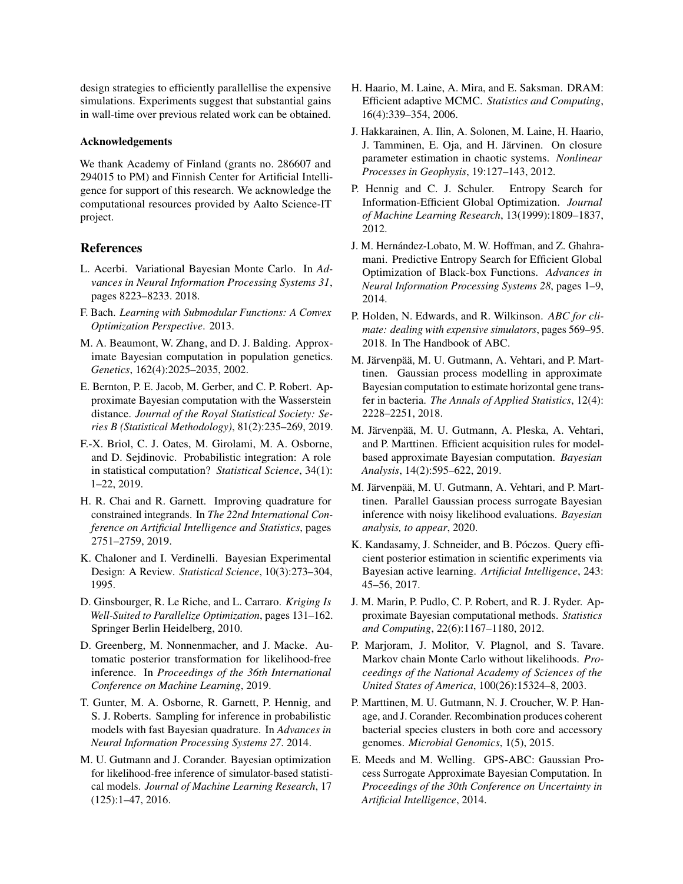design strategies to efficiently parallellise the expensive simulations. Experiments suggest that substantial gains in wall-time over previous related work can be obtained.

#### Acknowledgements

We thank Academy of Finland (grants no. 286607 and 294015 to PM) and Finnish Center for Artificial Intelligence for support of this research. We acknowledge the computational resources provided by Aalto Science-IT project.

# References

- <span id="page-8-20"></span>L. Acerbi. Variational Bayesian Monte Carlo. In *Advances in Neural Information Processing Systems 31*, pages 8223–8233. 2018.
- <span id="page-8-14"></span>F. Bach. *Learning with Submodular Functions: A Convex Optimization Perspective*. 2013.
- <span id="page-8-0"></span>M. A. Beaumont, W. Zhang, and D. J. Balding. Approximate Bayesian computation in population genetics. *Genetics*, 162(4):2025–2035, 2002.
- <span id="page-8-10"></span>E. Bernton, P. E. Jacob, M. Gerber, and C. P. Robert. Approximate Bayesian computation with the Wasserstein distance. *Journal of the Royal Statistical Society: Series B (Statistical Methodology)*, 81(2):235–269, 2019.
- <span id="page-8-19"></span>F.-X. Briol, C. J. Oates, M. Girolami, M. A. Osborne, and D. Sejdinovic. Probabilistic integration: A role in statistical computation? *Statistical Science*, 34(1): 1–22, 2019.
- <span id="page-8-18"></span>H. R. Chai and R. Garnett. Improving quadrature for constrained integrands. In *The 22nd International Conference on Artificial Intelligence and Statistics*, pages 2751–2759, 2019.
- <span id="page-8-11"></span>K. Chaloner and I. Verdinelli. Bayesian Experimental Design: A Review. *Statistical Science*, 10(3):273–304, 1995.
- <span id="page-8-13"></span>D. Ginsbourger, R. Le Riche, and L. Carraro. *Kriging Is Well-Suited to Parallelize Optimization*, pages 131–162. Springer Berlin Heidelberg, 2010.
- <span id="page-8-4"></span>D. Greenberg, M. Nonnenmacher, and J. Macke. Automatic posterior transformation for likelihood-free inference. In *Proceedings of the 36th International Conference on Machine Learning*, 2019.
- <span id="page-8-17"></span>T. Gunter, M. A. Osborne, R. Garnett, P. Hennig, and S. J. Roberts. Sampling for inference in probabilistic models with fast Bayesian quadrature. In *Advances in Neural Information Processing Systems 27*. 2014.
- <span id="page-8-6"></span>M. U. Gutmann and J. Corander. Bayesian optimization for likelihood-free inference of simulator-based statistical models. *Journal of Machine Learning Research*, 17 (125):1–47, 2016.
- H. Haario, M. Laine, A. Mira, and E. Saksman. DRAM: Efficient adaptive MCMC. *Statistics and Computing*, 16(4):339–354, 2006.
- <span id="page-8-22"></span>J. Hakkarainen, A. Ilin, A. Solonen, M. Laine, H. Haario, J. Tamminen, E. Oja, and H. Järvinen. On closure parameter estimation in chaotic systems. *Nonlinear Processes in Geophysis*, 19:127–143, 2012.
- <span id="page-8-15"></span>P. Hennig and C. J. Schuler. Entropy Search for Information-Efficient Global Optimization. *Journal of Machine Learning Research*, 13(1999):1809–1837, 2012.
- <span id="page-8-16"></span>J. M. Hernández-Lobato, M. W. Hoffman, and Z. Ghahramani. Predictive Entropy Search for Efficient Global Optimization of Black-box Functions. *Advances in Neural Information Processing Systems 28*, pages 1–9, 2014.
- <span id="page-8-3"></span>P. Holden, N. Edwards, and R. Wilkinson. *ABC for climate: dealing with expensive simulators*, pages 569–95. 2018. In The Handbook of ABC.
- <span id="page-8-7"></span>M. Järvenpää, M. U. Gutmann, A. Vehtari, and P. Marttinen. Gaussian process modelling in approximate Bayesian computation to estimate horizontal gene transfer in bacteria. *The Annals of Applied Statistics*, 12(4): 2228–2251, 2018.
- <span id="page-8-8"></span>M. Järvenpää, M. U. Gutmann, A. Pleska, A. Vehtari, and P. Marttinen. Efficient acquisition rules for modelbased approximate Bayesian computation. *Bayesian Analysis*, 14(2):595–622, 2019.
- <span id="page-8-9"></span>M. Järvenpää, M. U. Gutmann, A. Vehtari, and P. Marttinen. Parallel Gaussian process surrogate Bayesian inference with noisy likelihood evaluations. *Bayesian analysis, to appear*, 2020.
- <span id="page-8-12"></span>K. Kandasamy, J. Schneider, and B. Póczos. Query efficient posterior estimation in scientific experiments via Bayesian active learning. *Artificial Intelligence*, 243: 45–56, 2017.
- <span id="page-8-1"></span>J. M. Marin, P. Pudlo, C. P. Robert, and R. J. Ryder. Approximate Bayesian computational methods. *Statistics and Computing*, 22(6):1167–1180, 2012.
- <span id="page-8-21"></span>P. Marjoram, J. Molitor, V. Plagnol, and S. Tavare. Markov chain Monte Carlo without likelihoods. *Proceedings of the National Academy of Sciences of the United States of America*, 100(26):15324–8, 2003.
- <span id="page-8-2"></span>P. Marttinen, M. U. Gutmann, N. J. Croucher, W. P. Hanage, and J. Corander. Recombination produces coherent bacterial species clusters in both core and accessory genomes. *Microbial Genomics*, 1(5), 2015.
- <span id="page-8-5"></span>E. Meeds and M. Welling. GPS-ABC: Gaussian Process Surrogate Approximate Bayesian Computation. In *Proceedings of the 30th Conference on Uncertainty in Artificial Intelligence*, 2014.